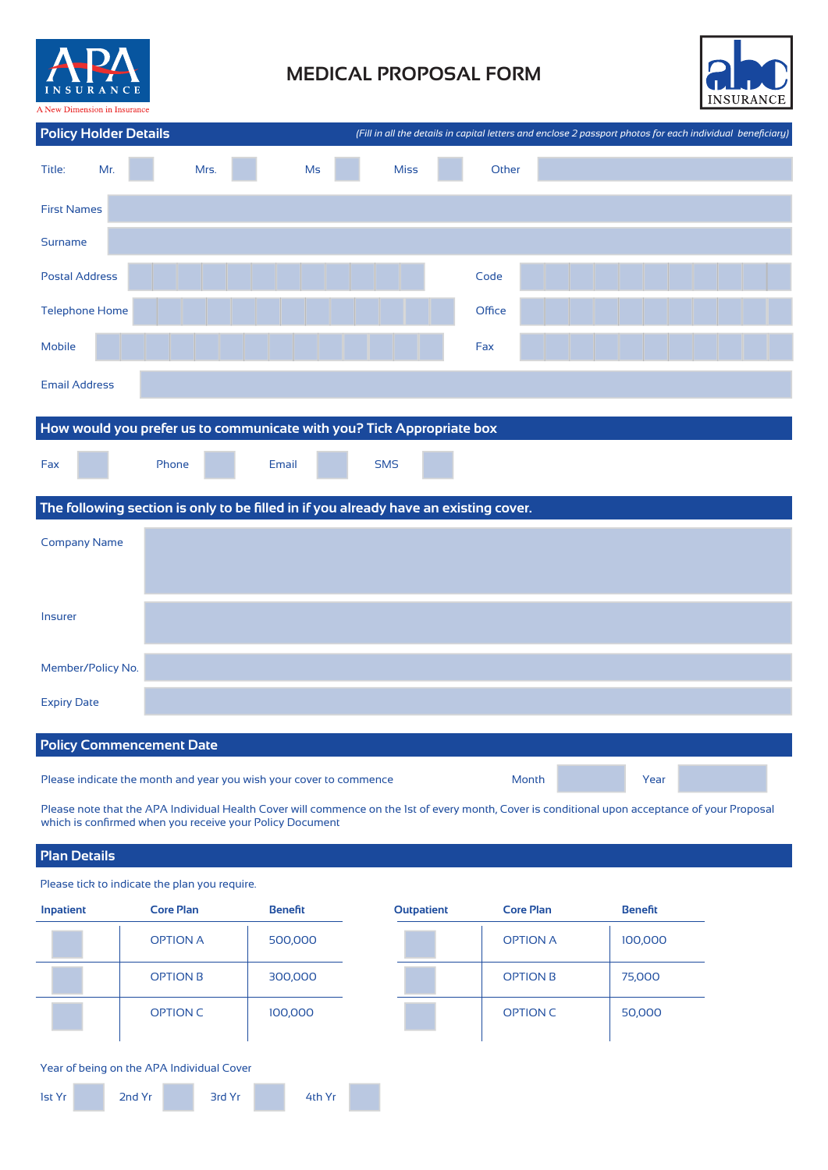

# **MEDICAL PROPOSAL FORM**



| <b>Policy Holder Details</b>    |                                                                                      | (Fill in all the details in capital letters and enclose 2 passport photos for each individual beneficiary) |        |      |  |
|---------------------------------|--------------------------------------------------------------------------------------|------------------------------------------------------------------------------------------------------------|--------|------|--|
| Mr.<br>Title:                   | Mrs.<br>Ms                                                                           | <b>Miss</b>                                                                                                | Other  |      |  |
| <b>First Names</b>              |                                                                                      |                                                                                                            |        |      |  |
| <b>Surname</b>                  |                                                                                      |                                                                                                            |        |      |  |
| <b>Postal Address</b>           |                                                                                      |                                                                                                            | Code   |      |  |
| <b>Telephone Home</b>           |                                                                                      |                                                                                                            | Office |      |  |
| <b>Mobile</b>                   |                                                                                      |                                                                                                            | Fax    |      |  |
| <b>Email Address</b>            |                                                                                      |                                                                                                            |        |      |  |
|                                 | How would you prefer us to communicate with you? Tick Appropriate box                |                                                                                                            |        |      |  |
|                                 |                                                                                      |                                                                                                            |        |      |  |
| Fax                             | Phone<br>Email                                                                       | <b>SMS</b>                                                                                                 |        |      |  |
|                                 | The following section is only to be filled in if you already have an existing cover. |                                                                                                            |        |      |  |
| <b>Company Name</b>             |                                                                                      |                                                                                                            |        |      |  |
|                                 |                                                                                      |                                                                                                            |        |      |  |
| Insurer                         |                                                                                      |                                                                                                            |        |      |  |
|                                 |                                                                                      |                                                                                                            |        |      |  |
| Member/Policy No.               |                                                                                      |                                                                                                            |        |      |  |
| <b>Expiry Date</b>              |                                                                                      |                                                                                                            |        |      |  |
| <b>Policy Commencement Date</b> |                                                                                      |                                                                                                            |        |      |  |
|                                 |                                                                                      |                                                                                                            |        |      |  |
|                                 | Please indicate the month and year you wish your cover to commence                   |                                                                                                            | Month  | Year |  |

Please note that the APA Individual Health Cover will commence on the 1st of every month, Cover is conditional upon acceptance of your Proposal which is confirmed when you receive your Policy Document

# **Plan Details**

Please tick to indicate the plan you require.

| Inpatient | <b>Core Plan</b> | <b>Benefit</b> | <b>Outpatient</b> | <b>Core Plan</b> | <b>Benefit</b> |
|-----------|------------------|----------------|-------------------|------------------|----------------|
|           | <b>OPTION A</b>  | 500,000        |                   | <b>OPTION A</b>  | 100,000        |
|           | <b>OPTION B</b>  | 300,000        |                   | <b>OPTION B</b>  | 75,000         |
|           | <b>OPTION C</b>  | 100,000        |                   | <b>OPTION C</b>  | 50,000         |

#### Year of being on the APA Individual Cover

| <b>1st Yr</b> | 2nd Yr | 3rd Yr | 4th Yr |
|---------------|--------|--------|--------|
|               |        |        |        |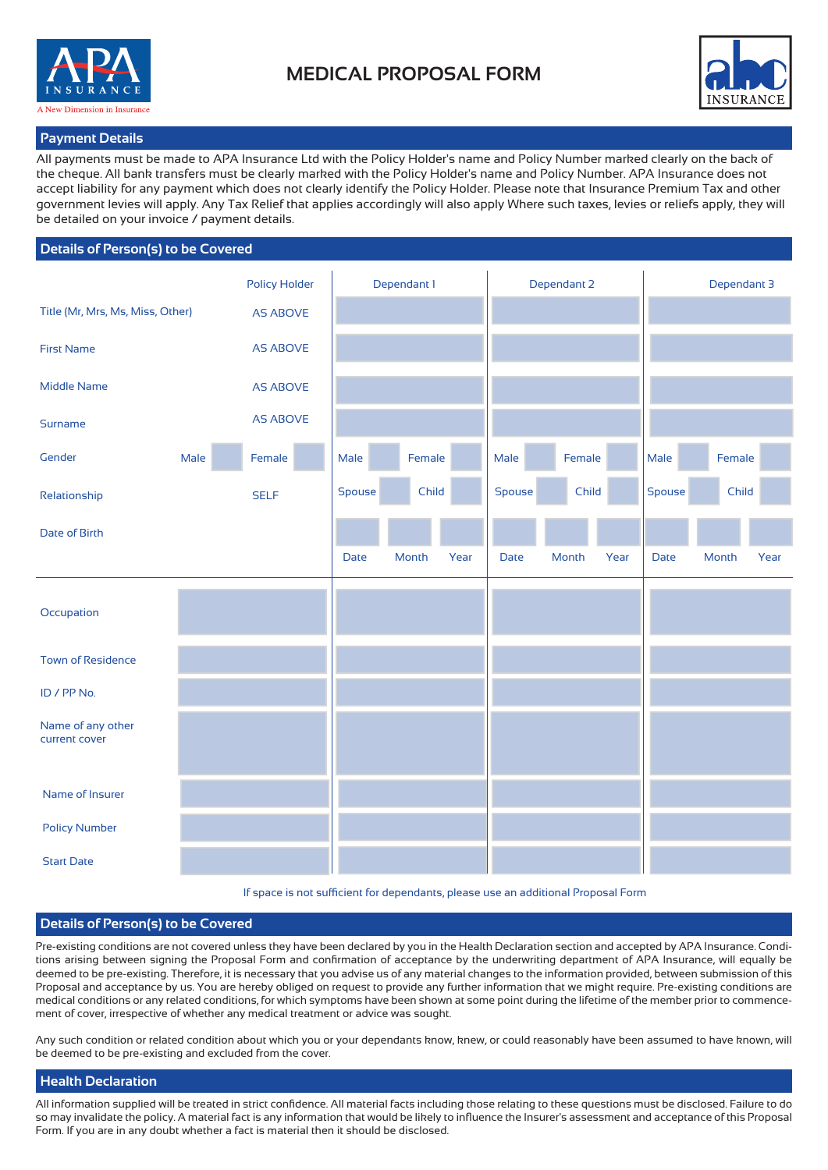



### **Payment Details**

All payments must be made to APA Insurance Ltd with the Policy Holder's name and Policy Number marked clearly on the back of the cheque. All bank transfers must be clearly marked with the Policy Holder's name and Policy Number. APA Insurance does not accept liability for any payment which does not clearly identify the Policy Holder. Please note that Insurance Premium Tax and other government levies will apply. Any Tax Relief that applies accordingly will also apply Where such taxes, levies or reliefs apply, they will be detailed on your invoice / payment details.

## **Details of Person(s) to be Covered**

|                                    |      | <b>Policy Holder</b> |        | Dependant 1 |      |        | Dependant 2 |      |             | Dependant 3 |      |
|------------------------------------|------|----------------------|--------|-------------|------|--------|-------------|------|-------------|-------------|------|
| Title (Mr, Mrs, Ms, Miss, Other)   |      | <b>AS ABOVE</b>      |        |             |      |        |             |      |             |             |      |
| <b>First Name</b>                  |      | <b>AS ABOVE</b>      |        |             |      |        |             |      |             |             |      |
| <b>Middle Name</b>                 |      | <b>AS ABOVE</b>      |        |             |      |        |             |      |             |             |      |
| Surname                            |      | <b>AS ABOVE</b>      |        |             |      |        |             |      |             |             |      |
| Gender                             | Male | Female               | Male   | Female      |      | Male   | Female      |      | Male        | Female      |      |
| Relationship                       |      | <b>SELF</b>          | Spouse | Child       |      | Spouse | Child       |      | Spouse      | Child       |      |
| <b>Date of Birth</b>               |      |                      |        |             |      |        |             |      |             |             |      |
|                                    |      |                      | Date   | Month       | Year | Date   | Month       | Year | <b>Date</b> | Month       | Year |
| Occupation                         |      |                      |        |             |      |        |             |      |             |             |      |
|                                    |      |                      |        |             |      |        |             |      |             |             |      |
| <b>Town of Residence</b>           |      |                      |        |             |      |        |             |      |             |             |      |
| ID / PP No.                        |      |                      |        |             |      |        |             |      |             |             |      |
| Name of any other<br>current cover |      |                      |        |             |      |        |             |      |             |             |      |
|                                    |      |                      |        |             |      |        |             |      |             |             |      |
| Name of Insurer                    |      |                      |        |             |      |        |             |      |             |             |      |
| <b>Policy Number</b>               |      |                      |        |             |      |        |             |      |             |             |      |
| <b>Start Date</b>                  |      |                      |        |             |      |        |             |      |             |             |      |

If space is not sufficient for dependants, please use an additional Proposal Form

### **Details of Person(s) to be Covered**

Pre-existing conditions are not covered unless they have been declared by you in the Health Declaration section and accepted by APA Insurance. Conditions arising between signing the Proposal Form and confirmation of acceptance by the underwriting department of APA Insurance, will equally be deemed to be pre-existing. Therefore, it is necessary that you advise us of any material changes to the information provided, between submission of this Proposal and acceptance by us. You are hereby obliged on request to provide any further information that we might require. Pre-existing conditions are medical conditions or any related conditions, for which symptoms have been shown at some point during the lifetime of the member prior to commencement of cover, irrespective of whether any medical treatment or advice was sought.

Any such condition or related condition about which you or your dependants know, knew, or could reasonably have been assumed to have known, will be deemed to be pre-existing and excluded from the cover.

### **Health Declaration**

All information supplied will be treated in strict confidence. All material facts including those relating to these questions must be disclosed. Failure to do so may invalidate the policy. A material fact is any information that would be likely to influence the Insurer's assessment and acceptance of this Proposal Form. If you are in any doubt whether a fact is material then it should be disclosed.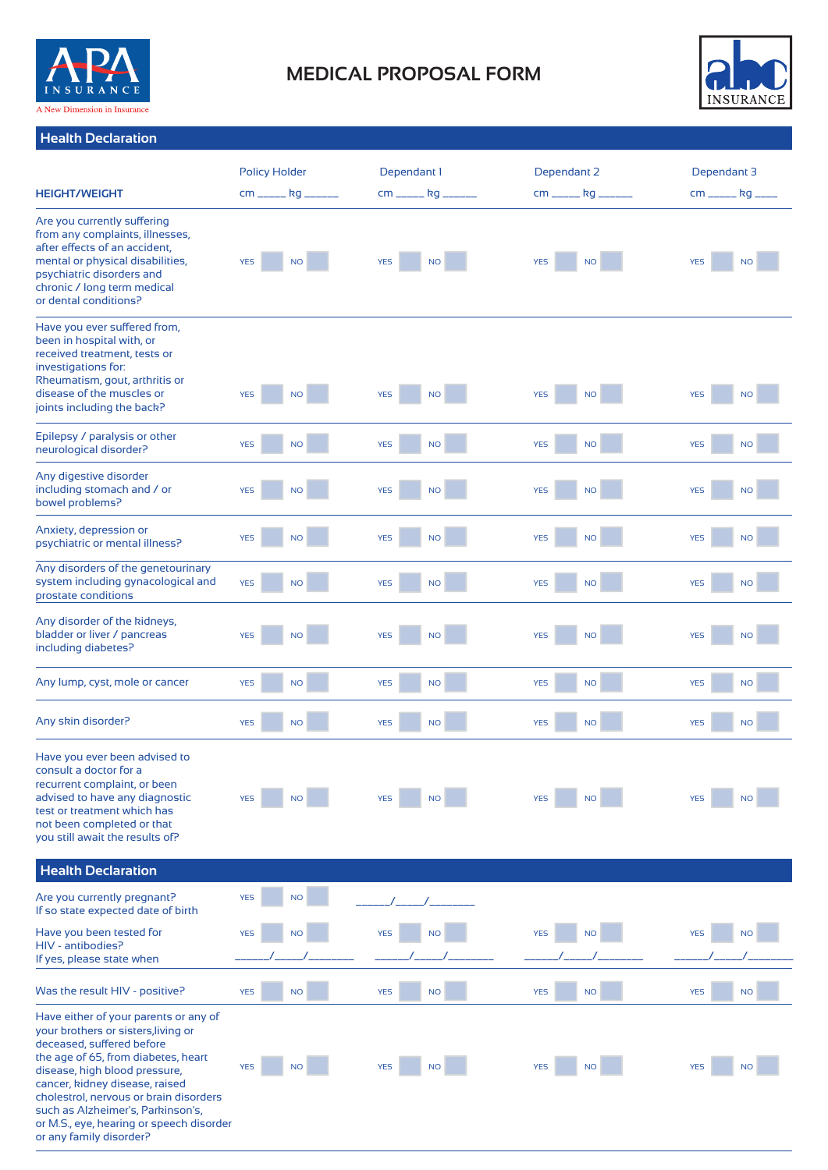

# **MEDICAL PROPOSAL FORM**



# **Health Declaration**

|                                                                                                                                                                                                                                                                                                                                                                           | <b>Policy Holder</b> |                      | Dependant 1   |           | Dependant 2   |           | Dependant 3   |           |
|---------------------------------------------------------------------------------------------------------------------------------------------------------------------------------------------------------------------------------------------------------------------------------------------------------------------------------------------------------------------------|----------------------|----------------------|---------------|-----------|---------------|-----------|---------------|-----------|
| <b>HEIGHT/WEIGHT</b>                                                                                                                                                                                                                                                                                                                                                      |                      | cm ______ kg _______ | cm _____ kg _ |           | cm _____ kg _ |           | cm _____ kg _ |           |
| Are you currently suffering<br>from any complaints, illnesses,<br>after effects of an accident,<br>mental or physical disabilities,<br>psychiatric disorders and<br>chronic / long term medical<br>or dental conditions?                                                                                                                                                  | <b>YES</b>           | <b>NO</b>            | <b>YES</b>    | <b>NO</b> | <b>YES</b>    | <b>NO</b> | <b>YES</b>    | <b>NO</b> |
| Have you ever suffered from,<br>been in hospital with, or<br>received treatment, tests or<br>investigations for:<br>Rheumatism, gout, arthritis or<br>disease of the muscles or<br>joints including the back?                                                                                                                                                             | <b>YES</b>           | <b>NO</b>            | <b>YES</b>    | <b>NO</b> | <b>YES</b>    | <b>NO</b> | <b>YES</b>    | <b>NO</b> |
| Epilepsy / paralysis or other<br>neurological disorder?                                                                                                                                                                                                                                                                                                                   | <b>YES</b>           | <b>NO</b>            | <b>YES</b>    | <b>NO</b> | <b>YES</b>    | <b>NO</b> | <b>YES</b>    | <b>NO</b> |
| Any digestive disorder<br>including stomach and / or<br>bowel problems?                                                                                                                                                                                                                                                                                                   | <b>YES</b>           | <b>NO</b>            | <b>YES</b>    | <b>NO</b> | <b>YES</b>    | <b>NO</b> | <b>YES</b>    | <b>NO</b> |
| Anxiety, depression or<br>psychiatric or mental illness?                                                                                                                                                                                                                                                                                                                  | <b>YES</b>           | <b>NO</b>            | <b>YES</b>    | <b>NO</b> | <b>YES</b>    | <b>NO</b> | <b>YES</b>    | <b>NO</b> |
| Any disorders of the genetourinary<br>system including gynacological and<br>prostate conditions                                                                                                                                                                                                                                                                           | <b>YES</b>           | <b>NO</b>            | <b>YES</b>    | <b>NO</b> | <b>YES</b>    | <b>NO</b> | <b>YES</b>    | <b>NO</b> |
| Any disorder of the kidneys,<br>bladder or liver / pancreas<br>including diabetes?                                                                                                                                                                                                                                                                                        | <b>YES</b>           | <b>NO</b>            | <b>YES</b>    | <b>NO</b> | <b>YES</b>    | <b>NO</b> | <b>YES</b>    | <b>NO</b> |
| Any lump, cyst, mole or cancer                                                                                                                                                                                                                                                                                                                                            | <b>YES</b>           | <b>NO</b>            | <b>YES</b>    | $NO$      | <b>YES</b>    | <b>NO</b> | <b>YES</b>    | <b>NO</b> |
| Any skin disorder?                                                                                                                                                                                                                                                                                                                                                        | <b>YES</b>           | <b>NO</b>            | <b>YES</b>    | $NO$      | <b>YES</b>    | <b>NO</b> | <b>YES</b>    | <b>NO</b> |
| Have you ever been advised to<br>consult a doctor for a<br>recurrent complaint, or been<br>advised to have any diagnostic<br>test or treatment which has<br>not been completed or that<br>you still await the results of?                                                                                                                                                 | <b>YES</b>           | <b>NO</b>            | <b>YES</b>    | <b>NO</b> | <b>YES</b>    | <b>NO</b> | <b>YES</b>    | <b>NO</b> |
| <b>Health Declaration</b>                                                                                                                                                                                                                                                                                                                                                 |                      |                      |               |           |               |           |               |           |
| Are you currently pregnant?<br>If so state expected date of birth                                                                                                                                                                                                                                                                                                         | <b>YES</b>           | <b>NO</b>            |               |           |               |           |               |           |
| Have you been tested for<br>HIV - antibodies?<br>If yes, please state when                                                                                                                                                                                                                                                                                                | <b>YES</b>           | <b>NO</b>            | <b>YES</b>    | <b>NO</b> | <b>YES</b>    | <b>NO</b> | <b>YES</b>    | <b>NO</b> |
| Was the result HIV - positive?                                                                                                                                                                                                                                                                                                                                            | <b>YES</b>           | <b>NO</b>            | <b>YES</b>    | <b>NO</b> | <b>YES</b>    | <b>NO</b> | <b>YES</b>    | <b>NO</b> |
| Have either of your parents or any of<br>your brothers or sisters, living or<br>deceased, suffered before<br>the age of 65, from diabetes, heart<br>disease, high blood pressure,<br>cancer, kidney disease, raised<br>cholestrol, nervous or brain disorders<br>such as Alzheimer's, Parkinson's,<br>or M.S., eye, hearing or speech disorder<br>or any family disorder? | <b>YES</b>           | <b>NO</b>            | <b>YES</b>    | <b>NO</b> | <b>YES</b>    | <b>NO</b> | <b>YES</b>    | <b>NO</b> |